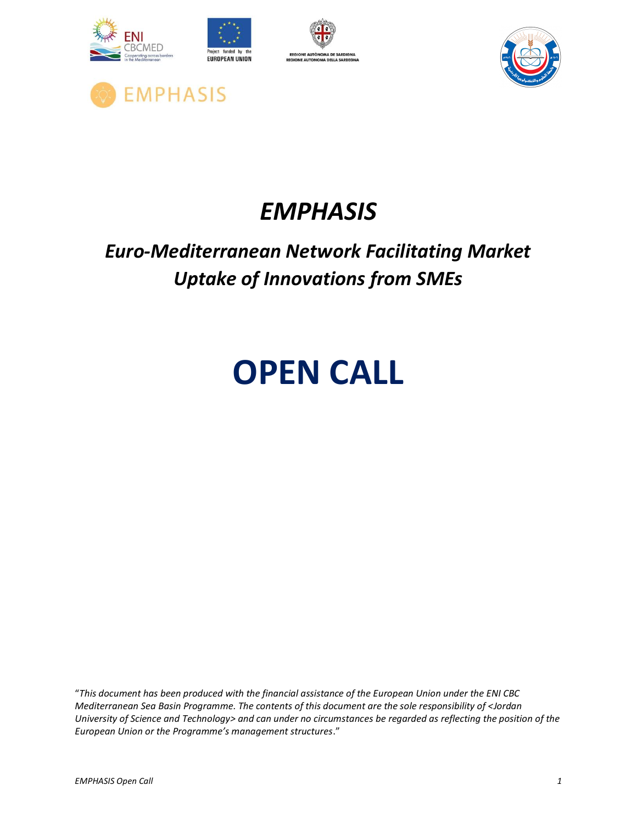







## *Euro-Mediterranean Network Facilitating Market Uptake of Innovations from SMEs*

# **OPEN CALL**

"*This document has been produced with the financial assistance of the European Union under the ENI CBC Mediterranean Sea Basin Programme. The contents of this document are the sole responsibility of <Jordan University of Science and Technology> and can under no circumstances be regarded as reflecting the position of the European Union or the Programme's management structures*."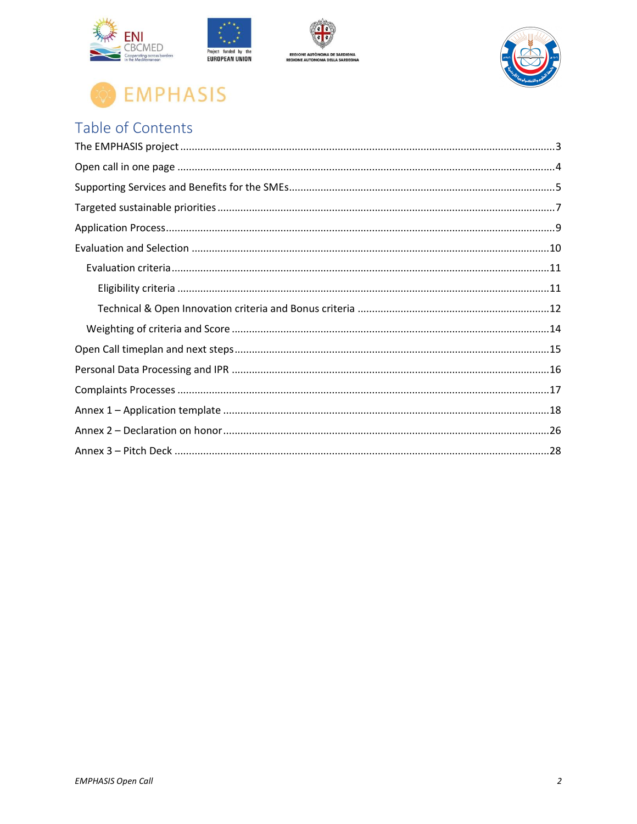





## Table of Contents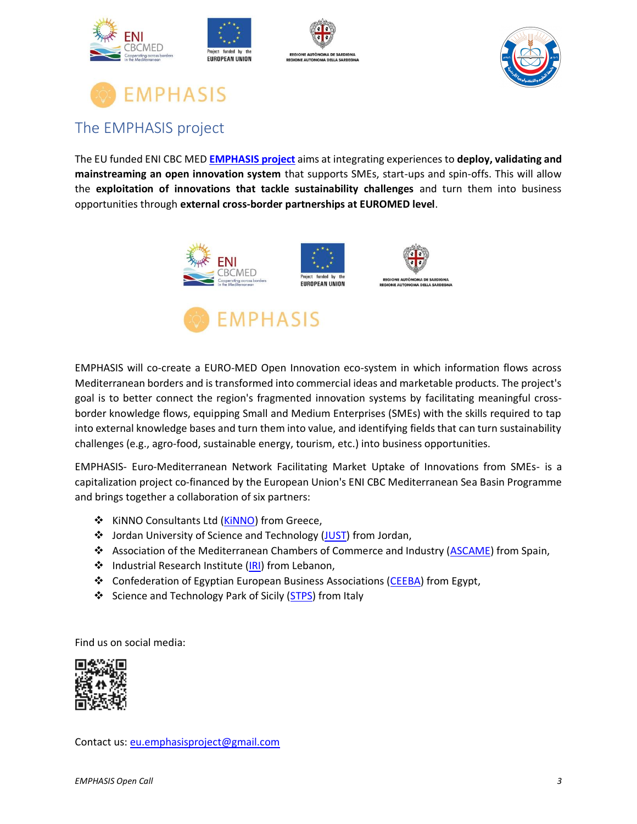







### <span id="page-2-0"></span>The EMPHASIS project

The EU funded ENI CBC MED **[EMPHASIS project](https://www.enicbcmed.eu/projects/emphasis)** aims at integrating experiences to **deploy, validating and mainstreaming an open innovation system** that supports SMEs, start-ups and spin-offs. This will allow the **exploitation of innovations that tackle sustainability challenges** and turn them into business opportunities through **external cross-border partnerships at EUROMED level**.



**EMPHASIS** 



EMPHASIS will co-create a EURO-MED Open Innovation eco-system in which information flows across Mediterranean borders and is transformed into commercial ideas and marketable products. The project's goal is to better connect the region's fragmented innovation systems by facilitating meaningful crossborder knowledge flows, equipping Small and Medium Enterprises (SMEs) with the skills required to tap into external knowledge bases and turn them into value, and identifying fields that can turn sustainability

challenges (e.g., agro-food, sustainable energy, tourism, etc.) into business opportunities.

EMPHASIS- Euro-Mediterranean Network Facilitating Market Uptake of Innovations from SMEs- is a capitalization project co-financed by the European Union's ENI CBC Mediterranean Sea Basin Programme and brings together a collaboration of six partners:

- ❖ KiNNO Consultants Ltd [\(KiNNO\)](http://www.kinno.eu/) from Greece,
- ❖ Jordan University of Science and Technology [\(JUST\)](http://www.just.edu.jo/) from Jordan,
- ❖ Association of the Mediterranean Chambers of Commerce and Industry [\(ASCAME\)](http://www.ascame.org/) from Spain,
- ❖ Industrial Research Institute [\(IRI\)](http://www.iri.org.lb/) from Lebanon,
- ❖ Confederation of Egyptian European Business Associations [\(CEEBA\)](http://www.ceeba.org/) from Egypt,
- ❖ Science and Technology Park of Sicily [\(STPS\)](http://www.pstsicilia.it/) from Italy

Find us on social media:



Contact us[: eu.emphasisproject@gmail.com](mailto:eu.emphasisproject@gmail.com)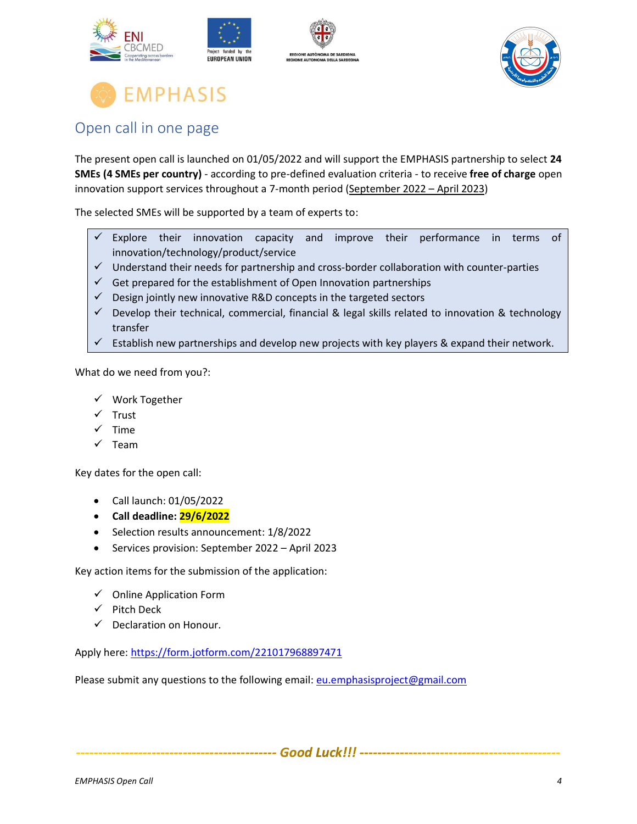







### <span id="page-3-0"></span>Open call in one page

The present open call is launched on 01/05/2022 and will support the EMPHASIS partnership to select **24 SMEs (4 SMEs per country)** - according to pre-defined evaluation criteria - to receive **free of charge** open innovation support services throughout a 7-month period (September 2022 – April 2023)

The selected SMEs will be supported by a team of experts to:

- $\checkmark$  Explore their innovation capacity and improve their performance in terms of innovation/technology/product/service
- ✓ Understand their needs for partnership and cross-border collaboration with counter-parties
- $\checkmark$  Get prepared for the establishment of Open Innovation partnerships
- $\checkmark$  Design jointly new innovative R&D concepts in the targeted sectors
- ✓ Develop their technical, commercial, financial & legal skills related to innovation & technology transfer
- $\checkmark$  Establish new partnerships and develop new projects with key players & expand their network.

What do we need from you?:

- ✓ Work Together
- ✓ Trust
- $\checkmark$  Time
- ✓ Team

Key dates for the open call:

- Call launch: 01/05/2022
- **Call deadline: 29/6/2022**
- Selection results announcement: 1/8/2022
- Services provision: September 2022 April 2023

Key action items for the submission of the application:

- ✓ Online Application Form
- ✓ Pitch Deck
- $\checkmark$  Declaration on Honour.

Apply here: <https://form.jotform.com/221017968897471>

Please submit any questions to the following email: [eu.emphasisproject@gmail.com](mailto:eu.emphasisproject@gmail.com)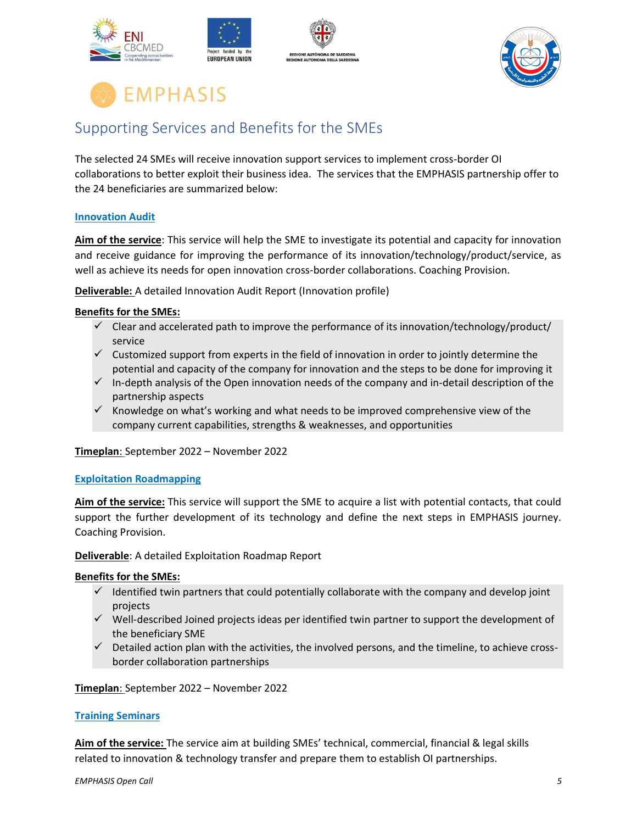





### <span id="page-4-0"></span>Supporting Services and Benefits for the SMEs

The selected 24 SMEs will receive innovation support services to implement cross-border OI collaborations to better exploit their business idea. The services that the EMPHASIS partnership offer to the 24 beneficiaries are summarized below:

#### **Innovation Audit**

**Aim of the service**: This service will help the SME to investigate its potential and capacity for innovation and receive guidance for improving the performance of its innovation/technology/product/service, as well as achieve its needs for open innovation cross-border collaborations. Coaching Provision.

**Deliverable:** A detailed Innovation Audit Report (Innovation profile)

#### **Benefits for the SMEs:**

- $\checkmark$  Clear and accelerated path to improve the performance of its innovation/technology/product/ service
- $\checkmark$  Customized support from experts in the field of innovation in order to jointly determine the potential and capacity of the company for innovation and the steps to be done for improving it
- $\checkmark$  In-depth analysis of the Open innovation needs of the company and in-detail description of the partnership aspects
- ✓ Knowledge on what's working and what needs to be improved comprehensive view of the company current capabilities, strengths & weaknesses, and opportunities

**Timeplan**: September 2022 – November 2022

#### **Exploitation Roadmapping**

**Aim of the service:** This service will support the SME to acquire a list with potential contacts, that could support the further development of its technology and define the next steps in EMPHASIS journey. Coaching Provision.

**Deliverable**: A detailed Exploitation Roadmap Report

#### **Benefits for the SMEs:**

- Identified twin partners that could potentially collaborate with the company and develop joint projects
- ✓ Well-described Joined projects ideas per identified twin partner to support the development of the beneficiary SME
- $\checkmark$  Detailed action plan with the activities, the involved persons, and the timeline, to achieve crossborder collaboration partnerships

**Timeplan**: September 2022 – November 2022

#### **Training Seminars**

**Aim of the service:** The service aim at building SMEs' technical, commercial, financial & legal skills related to innovation & technology transfer and prepare them to establish OI partnerships.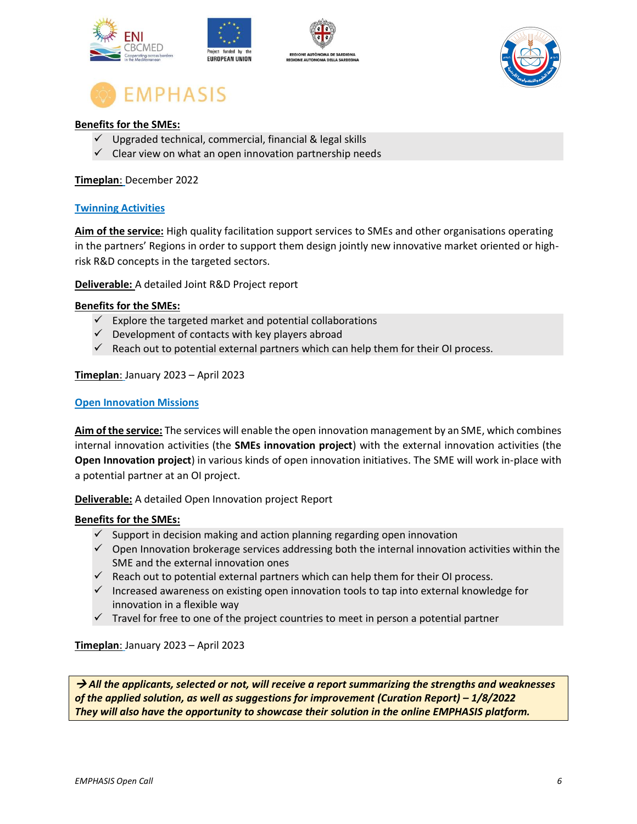



#### **Benefits for the SMEs:**

- $\checkmark$  Upgraded technical, commercial, financial & legal skills
- $\checkmark$  Clear view on what an open innovation partnership needs

#### **Timeplan**: December 2022

#### **Twinning Activities**

**Aim of the service:** High quality facilitation support services to SMEs and other organisations operating in the partners' Regions in order to support them design jointly new innovative market oriented or highrisk R&D concepts in the targeted sectors.

**Deliverable:** A detailed Joint R&D Project report

#### **Benefits for the SMEs:**

- $\checkmark$  Explore the targeted market and potential collaborations
- $\checkmark$  Development of contacts with key players abroad
- $\checkmark$  Reach out to potential external partners which can help them for their OI process.

#### **Timeplan**: January 2023 – April 2023

#### **Open Innovation Missions**

**Aim of the service:** The services will enable the open innovation management by an SME, which combines internal innovation activities (the **SMEs innovation project**) with the external innovation activities (the **Open Innovation project**) in various kinds of open innovation initiatives. The SME will work in-place with a potential partner at an OI project.

**Deliverable:** A detailed Open Innovation project Report

#### **Benefits for the SMEs:**

- $\checkmark$  Support in decision making and action planning regarding open innovation
- ✓ Open Innovation brokerage services addressing both the internal innovation activities within the SME and the external innovation ones
- $\checkmark$  Reach out to potential external partners which can help them for their OI process.
- $\checkmark$  Increased awareness on existing open innovation tools to tap into external knowledge for innovation in a flexible way
- $\checkmark$  Travel for free to one of the project countries to meet in person a potential partner

**Timeplan**: January 2023 – April 2023

→ *All the applicants, selected or not, will receive a report summarizing the strengths and weaknesses of the applied solution, as well as suggestions for improvement (Curation Report) – 1/8/2022 They will also have the opportunity to showcase their solution in the online EMPHASIS platform.*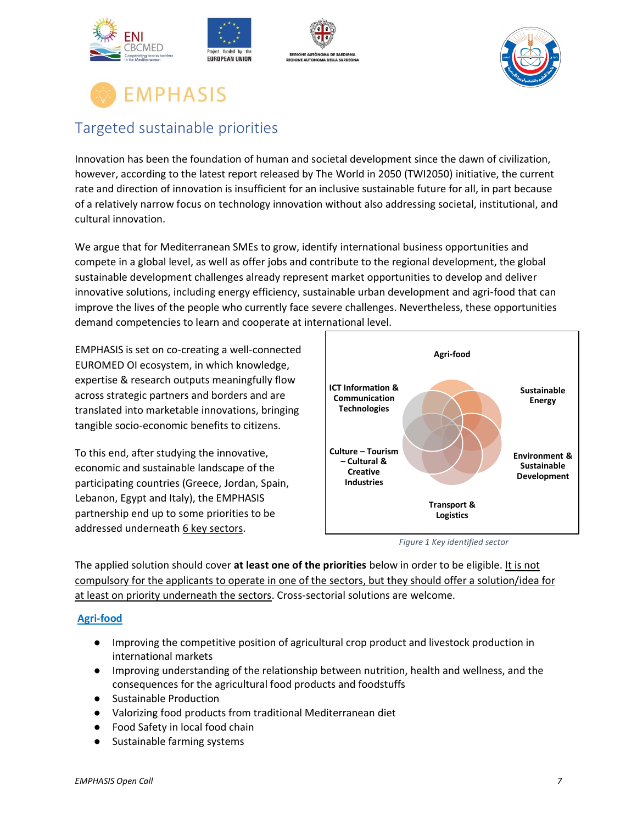



### <span id="page-6-0"></span>Targeted sustainable priorities

Innovation has been the foundation of human and societal development since the dawn of civilization, however, according to the latest report released by The World in 2050 (TWI2050) initiative, the current rate and direction of innovation is insufficient for an inclusive sustainable future for all, in part because of a relatively narrow focus on technology innovation without also addressing societal, institutional, and cultural innovation.

We argue that for Mediterranean SMEs to grow, identify international business opportunities and compete in a global level, as well as offer jobs and contribute to the regional development, the global sustainable development challenges already represent market opportunities to develop and deliver innovative solutions, including energy efficiency, sustainable urban development and agri-food that can improve the lives of the people who currently face severe challenges. Nevertheless, these opportunities demand competencies to learn and cooperate at international level.

EMPHASIS is set on co-creating a well-connected EUROMED OI ecosystem, in which knowledge, expertise & research outputs meaningfully flow across strategic partners and borders and are translated into marketable innovations, bringing tangible socio-economic benefits to citizens.

To this end, after studying the innovative, economic and sustainable landscape of the participating countries (Greece, Jordan, Spain, Lebanon, Egypt and Italy), the EMPHASIS partnership end up to some priorities to be addressed underneath 6 key sectors.





The applied solution should cover **at least one of the priorities** below in order to be eligible. It is not compulsory for the applicants to operate in one of the sectors, but they should offer a solution/idea for at least on priority underneath the sectors. Cross-sectorial solutions are welcome.

#### **Agri-food**

- Improving the competitive position of agricultural crop product and livestock production in international markets
- Improving understanding of the relationship between nutrition, health and wellness, and the consequences for the agricultural food products and foodstuffs
- Sustainable Production
- Valorizing food products from traditional Mediterranean diet
- Food Safety in local food chain
- Sustainable farming systems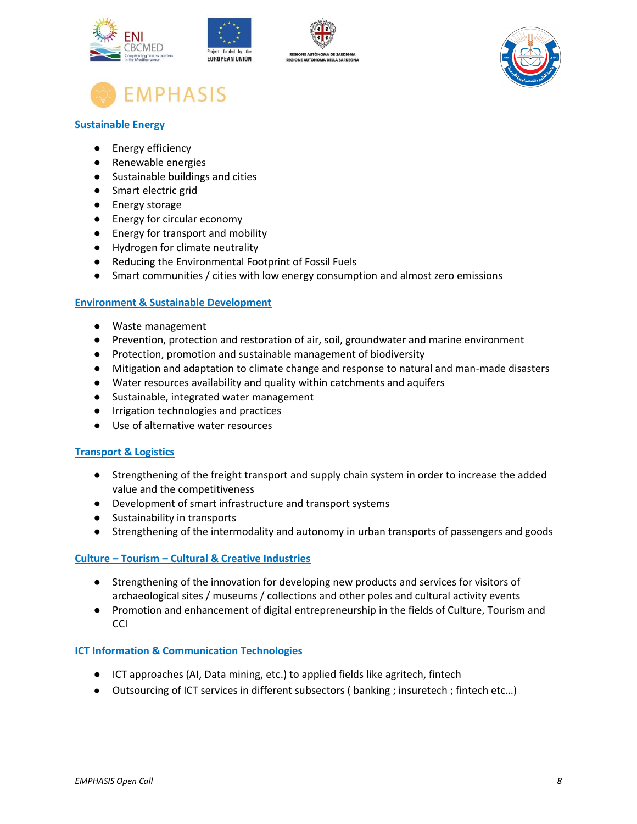







#### **Sustainable Energy**

- [Energy efficiency](https://www.innoenergy.com/for-innovators/innoenergy-thematic-fields/?page=1&thematicField=2026#data_container_anchor)
- [Renewable energies](https://www.innoenergy.com/for-innovators/innoenergy-thematic-fields/?page=1&thematicField=1668#data_container_anchor)
- [Sustainable buildings and cities](https://www.innoenergy.com/for-innovators/innoenergy-thematic-fields/?page=1&thematicField=1662#data_container_anchor)
- [Smart electric grid](https://www.innoenergy.com/for-innovators/innoenergy-thematic-fields/?page=1&thematicField=2039#data_container_anchor)
- [Energy storage](https://www.innoenergy.com/for-innovators/innoenergy-thematic-fields/?page=1&thematicField=1571#data_container_anchor)
- [Energy for circular economy](https://www.innoenergy.com/for-innovators/innoenergy-thematic-fields/?page=1&thematicField=6253#data_container_anchor)
- [Energy for transport and mobility](https://www.innoenergy.com/for-innovators/innoenergy-thematic-fields/?page=1&thematicField=6254#data_container_anchor)
- Hydrogen for climate neutrality
- Reducing the Environmental Footprint of Fossil Fuels
- Smart communities / cities with low energy consumption and almost zero emissions

#### **Environment & Sustainable Development**

- Waste management
- Prevention, protection and restoration of air, soil, groundwater and marine environment
- Protection, promotion and sustainable management of biodiversity
- Mitigation and adaptation to climate change and response to natural and man-made disasters
- Water resources availability and quality within catchments and aquifers
- Sustainable, integrated water management
- Irrigation technologies and practices
- Use of alternative water resources

#### **Transport & Logistics**

- Strengthening of the freight transport and supply chain system in order to increase the added value and the competitiveness
- Development of smart infrastructure and transport systems
- Sustainability in transports
- Strengthening of the intermodality and autonomy in urban transports of passengers and goods

#### **Culture – Tourism – Cultural & Creative Industries**

- Strengthening of the innovation for developing new products and services for visitors of archaeological sites / museums / collections and other poles and cultural activity events
- Promotion and enhancement of digital entrepreneurship in the fields of Culture, Tourism and **CCI**

#### **ICT Information & Communication Technologies**

- ICT approaches (AI, Data mining, etc.) to applied fields like agritech, fintech
- Outsourcing of ICT services in different subsectors ( banking ; insuretech ; fintech etc…)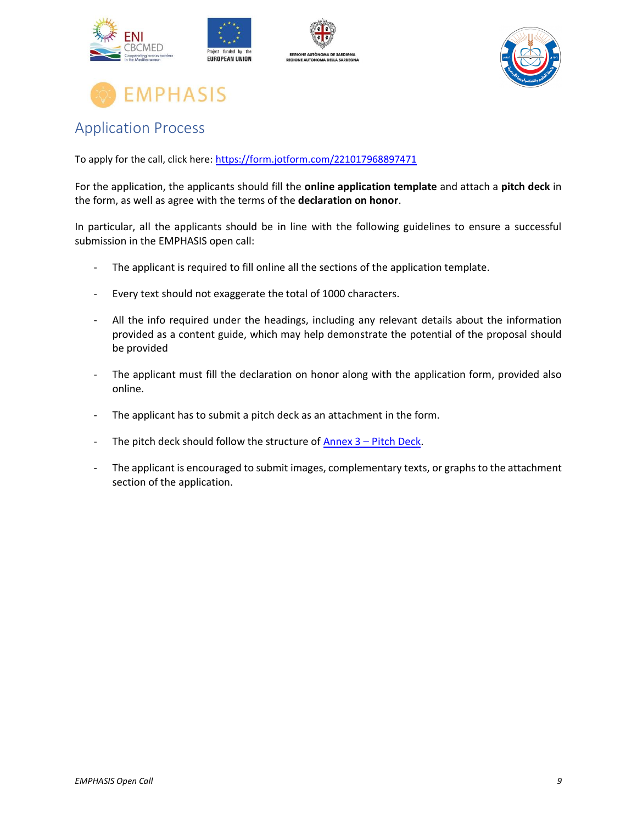





### <span id="page-8-0"></span>Application Process

To apply for the call, click here:<https://form.jotform.com/221017968897471>

For the application, the applicants should fill the **online application template** and attach a **pitch deck** in the form, as well as agree with the terms of the **declaration on honor**.

In particular, all the applicants should be in line with the following guidelines to ensure a successful submission in the EMPHASIS open call:

- The applicant is required to fill online all the sections of the application template.
- Every text should not exaggerate the total of 1000 characters.
- All the info required under the headings, including any relevant details about the information provided as a content guide, which may help demonstrate the potential of the proposal should be provided
- The applicant must fill the declaration on honor along with the application form, provided also online.
- The applicant has to submit a pitch deck as an attachment in the form.
- The pitch deck should follow the structure of  $Annex 3 Pitch Deck.$  $Annex 3 Pitch Deck.$
- The applicant is encouraged to submit images, complementary texts, or graphs to the attachment section of the application.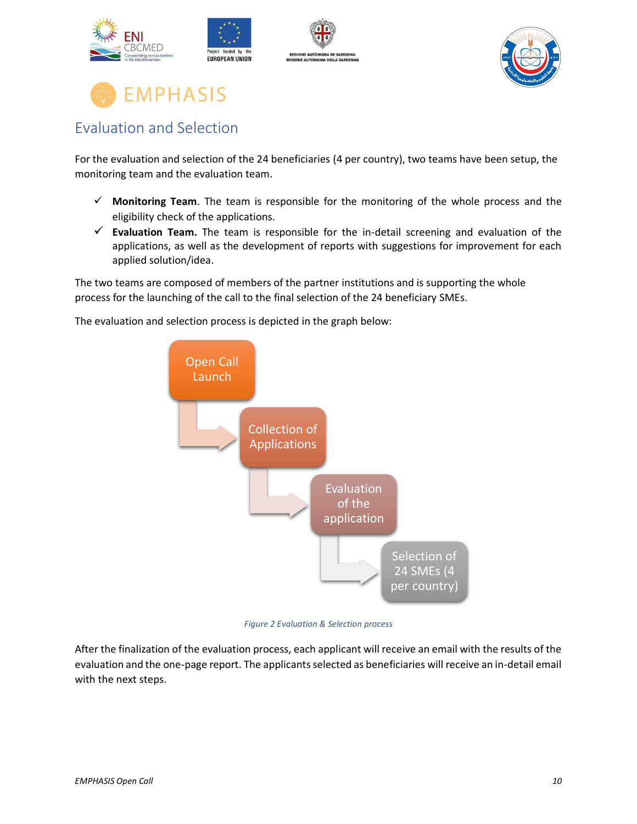



### <span id="page-9-0"></span>Evaluation and Selection

For the evaluation and selection of the 24 beneficiaries (4 per country), two teams have been setup, the monitoring team and the evaluation team.

- ✓ **Monitoring Team**. The team is responsible for the monitoring of the whole process and the eligibility check of the applications.
- ✓ **Evaluation Team.** The team is responsible for the in-detail screening and evaluation of the applications, as well as the development of reports with suggestions for improvement for each applied solution/idea.

The two teams are composed of members of the partner institutions and is supporting the whole process for the launching of the call to the final selection of the 24 beneficiary SMEs.

The evaluation and selection process is depicted in the graph below:



*Figure 2 Evaluation & Selection process*

After the finalization of the evaluation process, each applicant will receive an email with the results of the evaluation and the one-page report. The applicants selected as beneficiaries will receive an in-detail email with the next steps.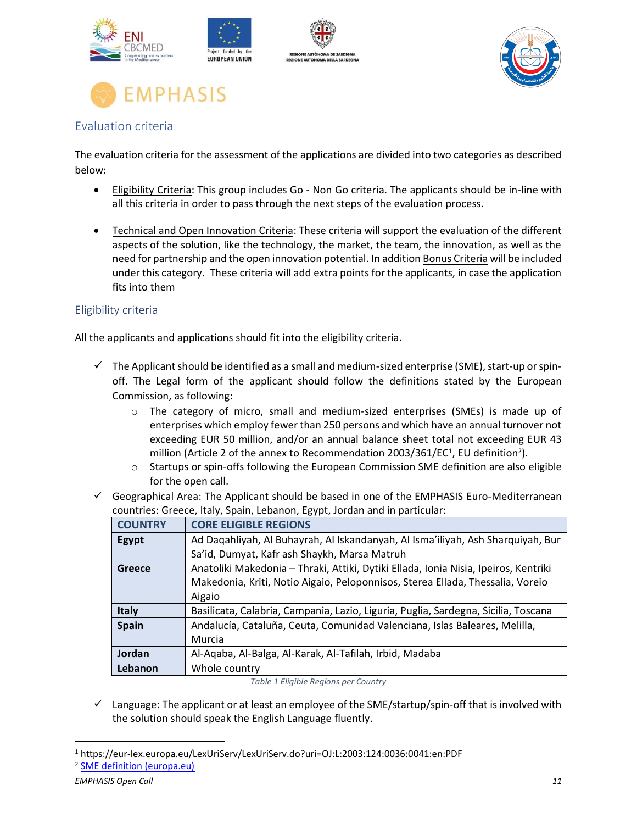





#### <span id="page-10-0"></span>Evaluation criteria

The evaluation criteria for the assessment of the applications are divided into two categories as described below:

- Eligibility Criteria: This group includes Go Non Go criteria. The applicants should be in-line with all this criteria in order to pass through the next steps of the evaluation process.
- Technical and Open Innovation Criteria: These criteria will support the evaluation of the different aspects of the solution, like the technology, the market, the team, the innovation, as well as the need for partnership and the open innovation potential. In addition Bonus Criteria will be included under this category. These criteria will add extra points for the applicants, in case the application fits into them

#### <span id="page-10-1"></span>Eligibility criteria

All the applicants and applications should fit into the eligibility criteria.

- $\checkmark$  The Applicant should be identified as a small and medium-sized enterprise (SME), start-up or spinoff. The Legal form of the applicant should follow the definitions stated by the European Commission, as following:
	- o The category of micro, small and medium-sized enterprises (SMEs) is made up of enterprises which employ fewer than 250 persons and which have an annual turnover not exceeding EUR 50 million, and/or an annual balance sheet total not exceeding EUR 43 million (Article 2 of the annex to Recommendation 2003/361/EC<sup>1</sup>, EU definition<sup>2</sup>).
	- o Startups or spin-offs following the European Commission SME definition are also eligible for the open call.
- $\checkmark$  Geographical Area: The Applicant should be based in one of the EMPHASIS Euro-Mediterranean countries: Greece, Italy, Spain, Lebanon, Egypt, Jordan and in particular:

| <b>COUNTRY</b> | <b>CORE ELIGIBLE REGIONS</b>                                                        |
|----------------|-------------------------------------------------------------------------------------|
| Egypt          | Ad Dagahliyah, Al Buhayrah, Al Iskandanyah, Al Isma'iliyah, Ash Sharquiyah, Bur     |
|                | Sa'id, Dumyat, Kafr ash Shaykh, Marsa Matruh                                        |
| Greece         | Anatoliki Makedonia - Thraki, Attiki, Dytiki Ellada, Ionia Nisia, Ipeiros, Kentriki |
|                | Makedonia, Kriti, Notio Aigaio, Peloponnisos, Sterea Ellada, Thessalia, Voreio      |
|                | Aigaio                                                                              |
| <b>Italy</b>   | Basilicata, Calabria, Campania, Lazio, Liguria, Puglia, Sardegna, Sicilia, Toscana  |
| <b>Spain</b>   | Andalucía, Cataluña, Ceuta, Comunidad Valenciana, Islas Baleares, Melilla,          |
|                | Murcia                                                                              |
| Jordan         | Al-Aqaba, Al-Balga, Al-Karak, Al-Tafilah, Irbid, Madaba                             |
| Lebanon        | Whole country                                                                       |
|                |                                                                                     |

*Table 1 Eligible Regions per Country*

 $\checkmark$  Language: The applicant or at least an employee of the SME/startup/spin-off that is involved with the solution should speak the English Language fluently.

<sup>1</sup> https://eur-lex.europa.eu/LexUriServ/LexUriServ.do?uri=OJ:L:2003:124:0036:0041:en:PDF

<sup>2</sup> [SME definition \(europa.eu\)](https://ec.europa.eu/growth/smes/sme-definition_en)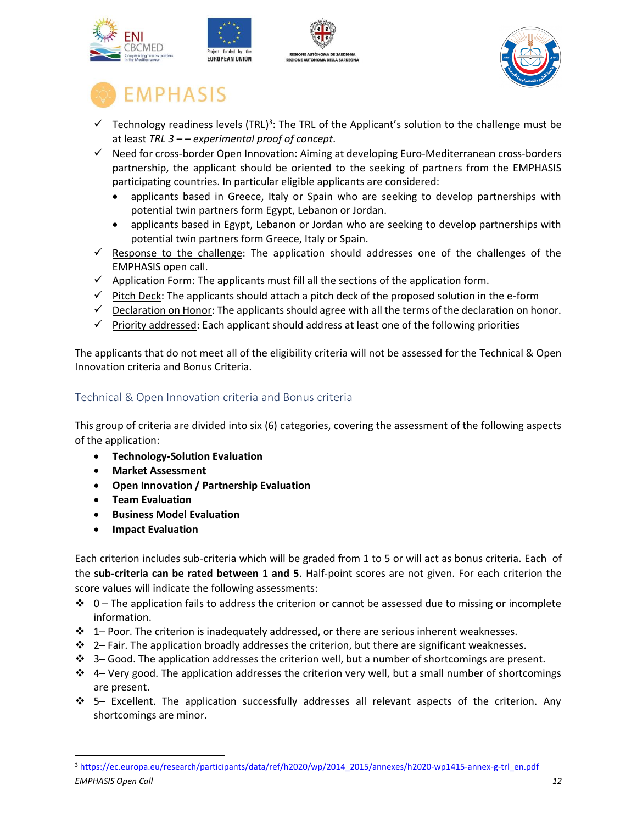



- $\checkmark$  Technology readiness levels (TRL)<sup>3</sup>: The TRL of the Applicant's solution to the challenge must be at least *TRL 3 – – experimental proof of concept.*
- ✓ Need for cross-border Open Innovation: Aiming at developing Euro-Mediterranean cross-borders partnership, the applicant should be oriented to the seeking of partners from the EMPHASIS participating countries. In particular eligible applicants are considered:
	- applicants based in Greece, Italy or Spain who are seeking to develop partnerships with potential twin partners form Egypt, Lebanon or Jordan.
	- applicants based in Egypt, Lebanon or Jordan who are seeking to develop partnerships with potential twin partners form Greece, Italy or Spain.
- $\checkmark$  Response to the challenge: The application should addresses one of the challenges of the EMPHASIS open call.
- $\checkmark$  Application Form: The applicants must fill all the sections of the application form.
- $\checkmark$  Pitch Deck: The applicants should attach a pitch deck of the proposed solution in the e-form
- $\checkmark$  Declaration on Honor: The applicants should agree with all the terms of the declaration on honor.
- $\checkmark$  Priority addressed: Each applicant should address at least one of the following priorities

The applicants that do not meet all of the eligibility criteria will not be assessed for the Technical & Open Innovation criteria and Bonus Criteria.

#### <span id="page-11-0"></span>Technical & Open Innovation criteria and Bonus criteria

This group of criteria are divided into six (6) categories, covering the assessment of the following aspects of the application:

- **Technology-Solution Evaluation**
- **Market Assessment**
- **Open Innovation / Partnership Evaluation**
- **Team Evaluation**
- **Business Model Evaluation**
- **Impact Evaluation**

Each criterion includes sub-criteria which will be graded from 1 to 5 or will act as bonus criteria. Each of the **sub-criteria can be rated between 1 and 5**. Half-point scores are not given. For each criterion the score values will indicate the following assessments:

- $\div$  0 The application fails to address the criterion or cannot be assessed due to missing or incomplete information.
- ❖ 1– Poor. The criterion is inadequately addressed, or there are serious inherent weaknesses.
- ❖ 2– Fair. The application broadly addresses the criterion, but there are significant weaknesses.
- ❖ 3– Good. The application addresses the criterion well, but a number of shortcomings are present.
- ❖ 4– Very good. The application addresses the criterion very well, but a small number of shortcomings are present.
- ❖ 5– Excellent. The application successfully addresses all relevant aspects of the criterion. Any shortcomings are minor.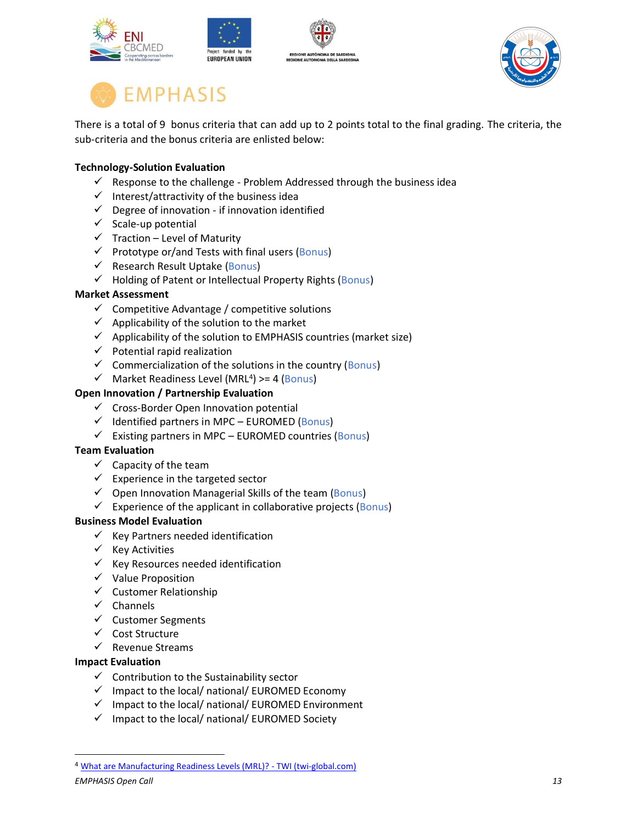





There is a total of 9 bonus criteria that can add up to 2 points total to the final grading. The criteria, the sub-criteria and the bonus criteria are enlisted below:

#### **Technology-Solution Evaluation**

- $\checkmark$  Response to the challenge Problem Addressed through the business idea
- ✓ Interest/attractivity of the business idea
- $\checkmark$  Degree of innovation if innovation identified
- $\checkmark$  Scale-up potential
- $\checkmark$  Traction Level of Maturity
- $\checkmark$  Prototype or/and Tests with final users (Bonus)
- $\checkmark$  Research Result Uptake (Bonus)
- ✓ Holding of Patent or Intellectual Property Rights (Bonus)

#### **Market Assessment**

- $\checkmark$  Competitive Advantage / competitive solutions
- $\checkmark$  Applicability of the solution to the market
- $\checkmark$  Applicability of the solution to EMPHASIS countries (market size)
- $\checkmark$  Potential rapid realization
- $\checkmark$  Commercialization of the solutions in the country (Bonus)
- $\checkmark$  Market Readiness Level (MRL<sup>4</sup>) >= 4 (Bonus)

#### **Open Innovation / Partnership Evaluation**

- $\checkmark$  Cross-Border Open Innovation potential
- $\checkmark$  Identified partners in MPC EUROMED (Bonus)
- $\checkmark$  Existing partners in MPC EUROMED countries (Bonus)

#### **Team Evaluation**

- $\checkmark$  Capacity of the team
- $\checkmark$  Experience in the targeted sector
- $\checkmark$  Open Innovation Managerial Skills of the team (Bonus)
- $\checkmark$  Experience of the applicant in collaborative projects (Bonus)

#### **Business Model Evaluation**

- $\checkmark$  Key Partners needed identification
- ✓ Key Activities
- $\checkmark$  Key Resources needed identification
- ✓ Value Proposition
- $\checkmark$  Customer Relationship
- ✓ Channels
- ✓ Customer Segments
- ✓ Cost Structure
- ✓ Revenue Streams

#### **Impact Evaluation**

- $\checkmark$  Contribution to the Sustainability sector
- $\checkmark$  Impact to the local/ national/ EUROMED Economy
- ✓ Impact to the local/ national/ EUROMED Environment
- ✓ Impact to the local/ national/ EUROMED Society

<sup>4</sup> [What are Manufacturing Readiness Levels \(MRL\)? -](https://www.twi-global.com/technical-knowledge/faqs/manufacturing-readiness-levels) TWI (twi-global.com)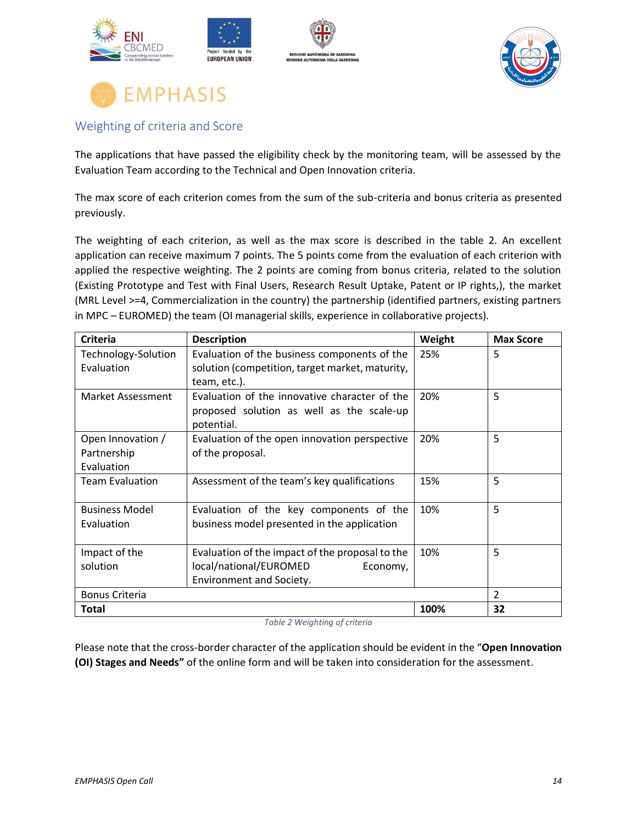





#### <span id="page-13-0"></span>Weighting of criteria and Score

The applications that have passed the eligibility check by the monitoring team, will be assessed by the Evaluation Team according to the Technical and Open Innovation criteria.

The max score of each criterion comes from the sum of the sub-criteria and bonus criteria as presented previously.

The weighting of each criterion, as well as the max score is described in the table 2. An excellent application can receive maximum 7 points. The 5 points come from the evaluation of each criterion with applied the respective weighting. The 2 points are coming from bonus criteria, related to the solution (Existing Prototype and Test with Final Users, Research Result Uptake, Patent or IP rights,), the market (MRL Level >=4, Commercialization in the country) the partnership (identified partners, existing partners in MPC – EUROMED) the team (OI managerial skills, experience in collaborative projects).

| Criteria               | <b>Description</b>                              | Weight | <b>Max Score</b> |
|------------------------|-------------------------------------------------|--------|------------------|
| Technology-Solution    | Evaluation of the business components of the    | 25%    | 5                |
| Evaluation             | solution (competition, target market, maturity, |        |                  |
|                        | team, etc.).                                    |        |                  |
| Market Assessment      | Evaluation of the innovative character of the   | 20%    | 5                |
|                        | proposed solution as well as the scale-up       |        |                  |
|                        | potential.                                      |        |                  |
| Open Innovation /      | Evaluation of the open innovation perspective   | 20%    | 5                |
| Partnership            | of the proposal.                                |        |                  |
| Evaluation             |                                                 |        |                  |
| <b>Team Evaluation</b> | Assessment of the team's key qualifications     | 15%    | 5                |
|                        |                                                 |        |                  |
| <b>Business Model</b>  | Evaluation of the key components of the         | 10%    | 5                |
| Evaluation             | business model presented in the application     |        |                  |
|                        |                                                 |        |                  |
| Impact of the          | Evaluation of the impact of the proposal to the | 10%    | 5                |
| solution               | local/national/EUROMED<br>Economy,              |        |                  |
|                        | Environment and Society.                        |        |                  |
| <b>Bonus Criteria</b>  |                                                 |        | $\mathcal{P}$    |
| Total                  |                                                 | 100%   | 32               |

*Table 2 Weighting of criteria*

Please note that the cross-border character of the application should be evident in the "**Open Innovation (OI) Stages and Needs"** of the online form and will be taken into consideration for the assessment.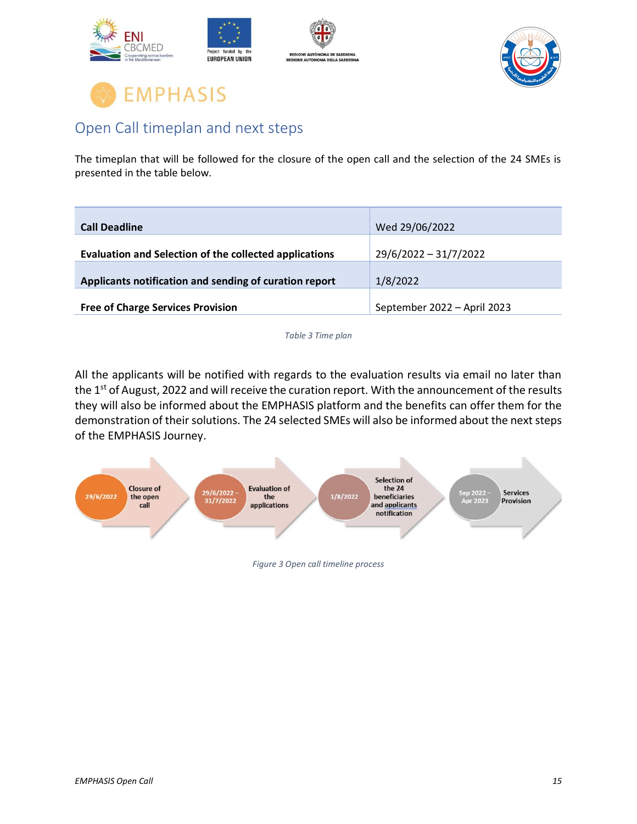





### <span id="page-14-0"></span>Open Call timeplan and next steps

The timeplan that will be followed for the closure of the open call and the selection of the 24 SMEs is presented in the table below.

| <b>Call Deadline</b>                                   | Wed 29/06/2022              |
|--------------------------------------------------------|-----------------------------|
| Evaluation and Selection of the collected applications | 29/6/2022 - 31/7/2022       |
| Applicants notification and sending of curation report | 1/8/2022                    |
| <b>Free of Charge Services Provision</b>               | September 2022 - April 2023 |

*Table 3 Time plan*

All the applicants will be notified with regards to the evaluation results via email no later than the 1<sup>st</sup> of August, 2022 and will receive the curation report. With the announcement of the results they will also be informed about the EMPHASIS platform and the benefits can offer them for the demonstration of their solutions. The 24 selected SMEs will also be informed about the next steps of the EMPHASIS Journey.



*Figure 3 Open call timeline process*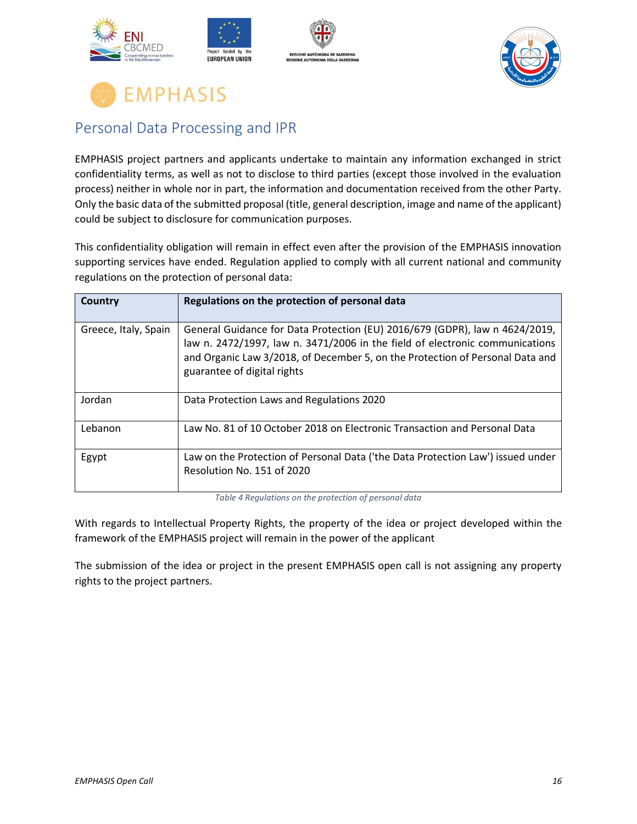





### <span id="page-15-0"></span>Personal Data Processing and IPR

EMPHASIS project partners and applicants undertake to maintain any information exchanged in strict confidentiality terms, as well as not to disclose to third parties (except those involved in the evaluation process) neither in whole nor in part, the information and documentation received from the other Party. Only the basic data of the submitted proposal (title, general description, image and name of the applicant) could be subject to disclosure for communication purposes.

This confidentiality obligation will remain in effect even after the provision of the EMPHASIS innovation supporting services have ended. Regulation applied to comply with all current national and community regulations on the protection of personal data:

| Country              | Regulations on the protection of personal data                                                                                                                                                                                                                              |
|----------------------|-----------------------------------------------------------------------------------------------------------------------------------------------------------------------------------------------------------------------------------------------------------------------------|
| Greece, Italy, Spain | General Guidance for Data Protection (EU) 2016/679 (GDPR), law n 4624/2019,<br>law n. 2472/1997, law n. 3471/2006 in the field of electronic communications<br>and Organic Law 3/2018, of December 5, on the Protection of Personal Data and<br>guarantee of digital rights |
| Jordan               | Data Protection Laws and Regulations 2020                                                                                                                                                                                                                                   |
| Lebanon              | Law No. 81 of 10 October 2018 on Electronic Transaction and Personal Data                                                                                                                                                                                                   |
| Egypt                | Law on the Protection of Personal Data ('the Data Protection Law') issued under<br>Resolution No. 151 of 2020                                                                                                                                                               |

*Table 4 Regulations on the protection of personal data*

With regards to Intellectual Property Rights, the property of the idea or project developed within the framework of the EMPHASIS project will remain in the power of the applicant

The submission of the idea or project in the present EMPHASIS open call is not assigning any property rights to the project partners.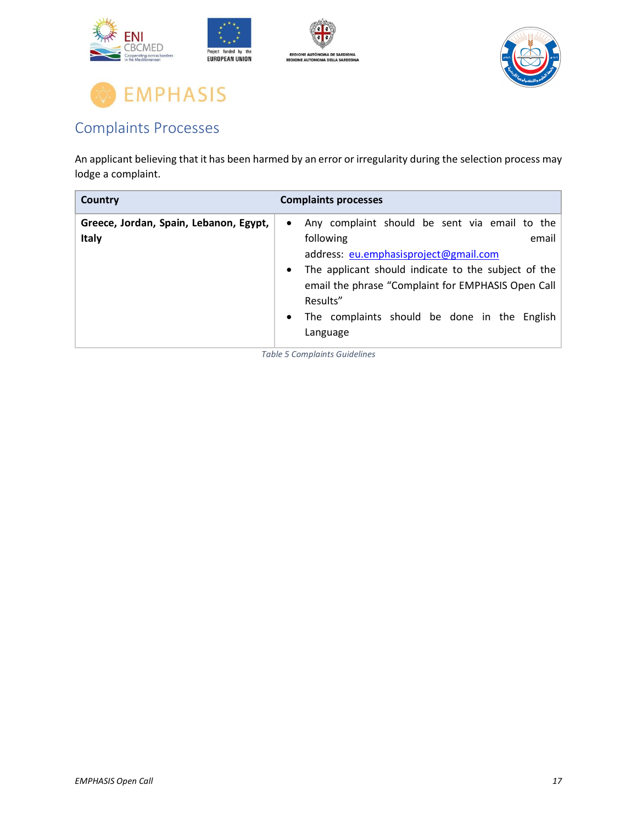



### <span id="page-16-0"></span>Complaints Processes

An applicant believing that it has been harmed by an error or irregularity during the selection process may lodge a complaint.

| Country                                                | <b>Complaints processes</b>                                                                                                                                                                                                                                                                                                              |
|--------------------------------------------------------|------------------------------------------------------------------------------------------------------------------------------------------------------------------------------------------------------------------------------------------------------------------------------------------------------------------------------------------|
| Greece, Jordan, Spain, Lebanon, Egypt,<br><b>Italy</b> | Any complaint should be sent via email to the<br>$\bullet$<br>following<br>email<br>address: eu.emphasisproject@gmail.com<br>The applicant should indicate to the subject of the<br>$\bullet$<br>email the phrase "Complaint for EMPHASIS Open Call<br>Results"<br>The complaints should be done in the English<br>$\bullet$<br>Language |

*Table 5 Complaints Guidelines*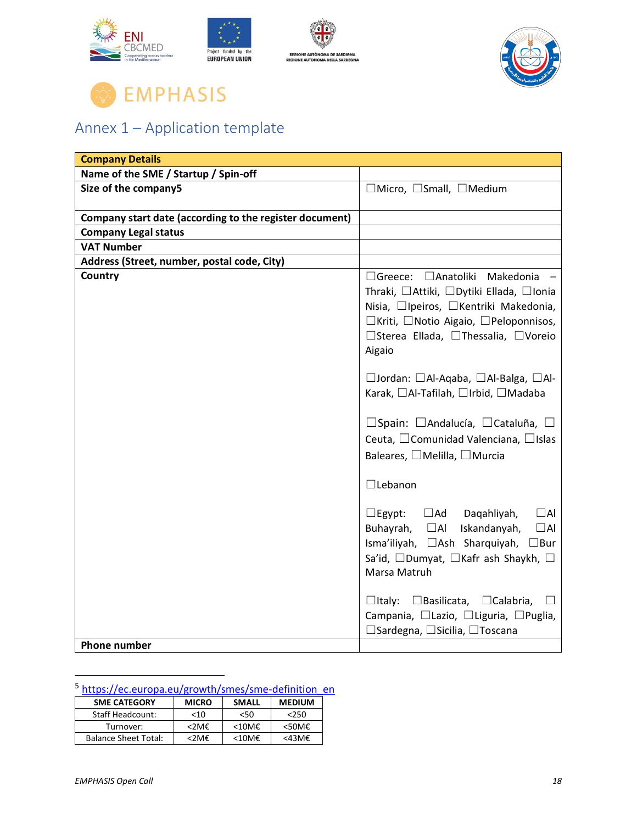



## <span id="page-17-0"></span>Annex 1 – Application template

| <b>Company Details</b>                                  |                                                                                                                                                                                                                     |
|---------------------------------------------------------|---------------------------------------------------------------------------------------------------------------------------------------------------------------------------------------------------------------------|
| Name of the SME / Startup / Spin-off                    |                                                                                                                                                                                                                     |
| Size of the company5                                    | $\Box$ Micro, $\Box$ Small, $\Box$ Medium                                                                                                                                                                           |
| Company start date (according to the register document) |                                                                                                                                                                                                                     |
| <b>Company Legal status</b>                             |                                                                                                                                                                                                                     |
| <b>VAT Number</b>                                       |                                                                                                                                                                                                                     |
| Address (Street, number, postal code, City)             |                                                                                                                                                                                                                     |
| Country                                                 | □Greece: □Anatoliki Makedonia -<br>Thraki, □Attiki, □Dytiki Ellada, □Ionia<br>Nisia, □Ipeiros, □Kentriki Makedonia,<br>□Kriti, □Notio Aigaio, □Peloponnisos,<br>□Sterea Ellada, □Thessalia, □Voreio<br>Aigaio       |
|                                                         | □Jordan: □Al-Aqaba, □Al-Balga, □Al-<br>Karak, □Al-Tafilah, □Irbid, □Madaba                                                                                                                                          |
|                                                         | $\Box$ Spain: $\Box$ Andalucía, $\Box$ Cataluña, $\Box$<br>Ceuta, □Comunidad Valenciana, □Islas<br>Baleares, □Melilla, □Murcia                                                                                      |
|                                                         | $\Box$ Lebanon                                                                                                                                                                                                      |
|                                                         | $\Box$ Ad<br>$\Box$ Al<br>$\Box$ Egypt:<br>Dagahliyah,<br>Buhayrah,<br>$\Box$ Al<br>Iskandanyah,<br>$\Box$ Al<br>Isma'iliyah, □Ash Sharquiyah,<br>$\Box$ Bur<br>Sa'id, □Dumyat, □Kafr ash Shaykh, □<br>Marsa Matruh |
|                                                         | $\Box$ Italy: $\Box$ Basilicata, $\Box$ Calabria,<br>$\perp$<br>Campania, □Lazio, □Liguria, □Puglia,<br>□ Sardegna, □ Sicilia, □ Toscana                                                                            |
| <b>Phone number</b>                                     |                                                                                                                                                                                                                     |

### <sup>5</sup> [https://ec.europa.eu/growth/smes/sme-definition\\_en](https://ec.europa.eu/growth/smes/sme-definition_en)

| <b>SME CATEGORY</b>         | <b>MICRO</b> | <b>SMALL</b>    | <b>MEDIUM</b>      |
|-----------------------------|--------------|-----------------|--------------------|
| <b>Staff Headcount:</b>     | <10          | <50             | 250                |
| Turnover:                   | <2M€         | $< 10M\epsilon$ | $<$ 50M $\epsilon$ |
| <b>Balance Sheet Total:</b> | <2M€         | $<10$ M $<$     | <43M€              |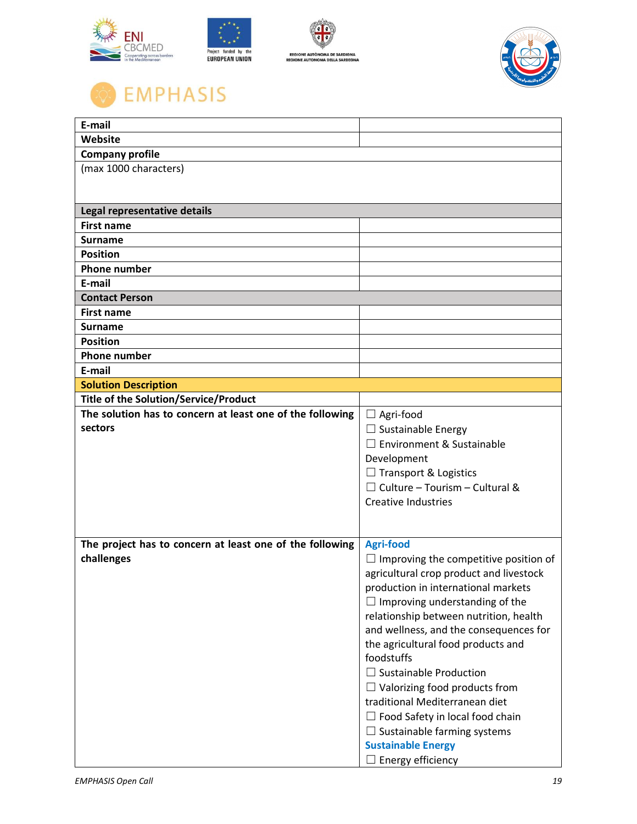





| E-mail                                                    |                                              |
|-----------------------------------------------------------|----------------------------------------------|
| Website                                                   |                                              |
| <b>Company profile</b>                                    |                                              |
| (max 1000 characters)                                     |                                              |
|                                                           |                                              |
|                                                           |                                              |
| Legal representative details                              |                                              |
| <b>First name</b>                                         |                                              |
| <b>Surname</b>                                            |                                              |
| <b>Position</b>                                           |                                              |
| <b>Phone number</b>                                       |                                              |
| E-mail                                                    |                                              |
| <b>Contact Person</b>                                     |                                              |
| <b>First name</b>                                         |                                              |
| <b>Surname</b><br><b>Position</b>                         |                                              |
| <b>Phone number</b>                                       |                                              |
| E-mail                                                    |                                              |
| <b>Solution Description</b>                               |                                              |
| <b>Title of the Solution/Service/Product</b>              |                                              |
| The solution has to concern at least one of the following | $\Box$ Agri-food                             |
| sectors                                                   | $\Box$ Sustainable Energy                    |
|                                                           | $\Box$ Environment & Sustainable             |
|                                                           | Development                                  |
|                                                           | $\Box$ Transport & Logistics                 |
|                                                           | $\Box$ Culture - Tourism - Cultural &        |
|                                                           | <b>Creative Industries</b>                   |
|                                                           |                                              |
|                                                           |                                              |
| The project has to concern at least one of the following  | <b>Agri-food</b>                             |
| challenges                                                | $\Box$ Improving the competitive position of |
|                                                           | agricultural crop product and livestock      |
|                                                           | production in international markets          |
|                                                           | Improving understanding of the<br>ப          |
|                                                           | relationship between nutrition, health       |
|                                                           | and wellness, and the consequences for       |
|                                                           | the agricultural food products and           |
|                                                           | foodstuffs                                   |
|                                                           | $\Box$ Sustainable Production                |
|                                                           | $\Box$ Valorizing food products from         |
|                                                           | traditional Mediterranean diet               |
|                                                           | $\Box$ Food Safety in local food chain       |
|                                                           | Sustainable farming systems<br>ப             |
|                                                           | <b>Sustainable Energy</b>                    |
|                                                           | $\Box$ Energy efficiency                     |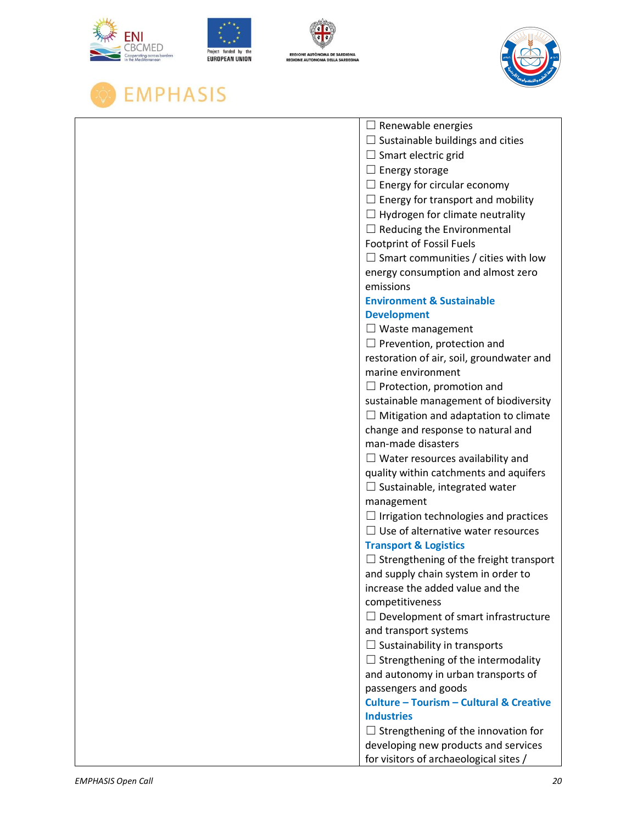







|                    | $\Box$ Renewable energies                                    |
|--------------------|--------------------------------------------------------------|
|                    | $\Box$ Sustainable buildings and cities                      |
|                    | $\Box$ Smart electric grid                                   |
|                    | $\Box$ Energy storage                                        |
|                    | $\Box$ Energy for circular economy                           |
|                    | $\Box$ Energy for transport and mobility                     |
|                    | $\Box$ Hydrogen for climate neutrality                       |
|                    | Reducing the Environmental                                   |
|                    | <b>Footprint of Fossil Fuels</b>                             |
|                    | $\Box$ Smart communities / cities with low                   |
|                    | energy consumption and almost zero                           |
|                    | emissions                                                    |
|                    | <b>Environment &amp; Sustainable</b>                         |
|                    | <b>Development</b>                                           |
|                    | $\Box$ Waste management                                      |
|                    | $\Box$ Prevention, protection and                            |
|                    | restoration of air, soil, groundwater and                    |
|                    | marine environment                                           |
|                    | Protection, promotion and                                    |
|                    | sustainable management of biodiversity                       |
|                    | Mitigation and adaptation to climate                         |
|                    | change and response to natural and                           |
|                    | man-made disasters                                           |
|                    | $\Box$ Water resources availability and                      |
|                    | quality within catchments and aquifers                       |
|                    | $\Box$ Sustainable, integrated water                         |
|                    | management                                                   |
|                    | $\Box$ Irrigation technologies and practices                 |
|                    | $\Box$ Use of alternative water resources                    |
|                    | <b>Transport &amp; Logistics</b>                             |
|                    | Strengthening of the freight transport                       |
|                    | and supply chain system in order to                          |
|                    | increase the added value and the                             |
|                    | competitiveness                                              |
|                    | $\Box$ Development of smart infrastructure                   |
|                    | and transport systems<br>$\Box$ Sustainability in transports |
|                    |                                                              |
|                    | Strengthening of the intermodality                           |
|                    | and autonomy in urban transports of<br>passengers and goods  |
|                    | <b>Culture - Tourism - Cultural &amp; Creative</b>           |
|                    | <b>Industries</b>                                            |
|                    | Strengthening of the innovation for<br>ப                     |
|                    | developing new products and services                         |
|                    | for visitors of archaeological sites /                       |
|                    |                                                              |
| EMPHASIS Open Call | 20                                                           |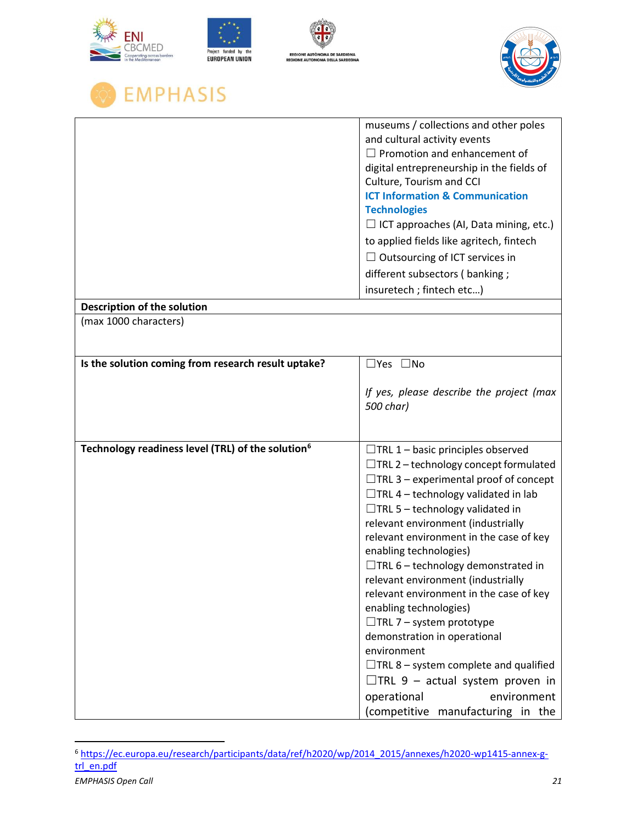| <b>REGIONE AUTÓNOMA DE SARDIGNA</b><br>rating across borders<br><b>EUROPEAN UNION</b><br><b>REGIONE AUTONOMA DELLA SARDEGNA</b> |                                                                                                                                                                                                                                                                                                                                                                                                                                                                                                                                                                                                                                                                                                                                                    |
|---------------------------------------------------------------------------------------------------------------------------------|----------------------------------------------------------------------------------------------------------------------------------------------------------------------------------------------------------------------------------------------------------------------------------------------------------------------------------------------------------------------------------------------------------------------------------------------------------------------------------------------------------------------------------------------------------------------------------------------------------------------------------------------------------------------------------------------------------------------------------------------------|
| EMPHASIS                                                                                                                        |                                                                                                                                                                                                                                                                                                                                                                                                                                                                                                                                                                                                                                                                                                                                                    |
|                                                                                                                                 | museums / collections and other poles<br>and cultural activity events<br>$\Box$ Promotion and enhancement of<br>digital entrepreneurship in the fields of<br>Culture, Tourism and CCI<br><b>ICT Information &amp; Communication</b><br><b>Technologies</b><br>$\Box$ ICT approaches (AI, Data mining, etc.)<br>to applied fields like agritech, fintech<br>$\Box$ Outsourcing of ICT services in<br>different subsectors (banking;<br>insuretech; fintech etc)                                                                                                                                                                                                                                                                                     |
| Description of the solution                                                                                                     |                                                                                                                                                                                                                                                                                                                                                                                                                                                                                                                                                                                                                                                                                                                                                    |
| (max 1000 characters)                                                                                                           |                                                                                                                                                                                                                                                                                                                                                                                                                                                                                                                                                                                                                                                                                                                                                    |
| Is the solution coming from research result uptake?                                                                             | □Yes □No<br>If yes, please describe the project (max<br>500 char)                                                                                                                                                                                                                                                                                                                                                                                                                                                                                                                                                                                                                                                                                  |
| Technology readiness level (TRL) of the solution <sup>6</sup>                                                                   | $\Box$ TRL 1 – basic principles observed<br>$\Box$ TRL 2 – technology concept formulated<br>$\Box$ TRL 3 – experimental proof of concept<br>$\Box$ TRL 4 – technology validated in lab<br>$\Box$ TRL 5 – technology validated in<br>relevant environment (industrially<br>relevant environment in the case of key<br>enabling technologies)<br>$\Box$ TRL 6 – technology demonstrated in<br>relevant environment (industrially<br>relevant environment in the case of key<br>enabling technologies)<br>$\Box$ TRL 7 – system prototype<br>demonstration in operational<br>environment<br>$\Box$ TRL 8 – system complete and qualified<br>$\Box$ TRL 9 – actual system proven in<br>environment<br>operational<br>(competitive manufacturing in the |

*EMPHASIS Open Call 21* <sup>6</sup> [https://ec.europa.eu/research/participants/data/ref/h2020/wp/2014\\_2015/annexes/h2020-wp1415-annex-g](https://ec.europa.eu/research/participants/data/ref/h2020/wp/2014_2015/annexes/h2020-wp1415-annex-g-trl_en.pdf)[trl\\_en.pdf](https://ec.europa.eu/research/participants/data/ref/h2020/wp/2014_2015/annexes/h2020-wp1415-annex-g-trl_en.pdf)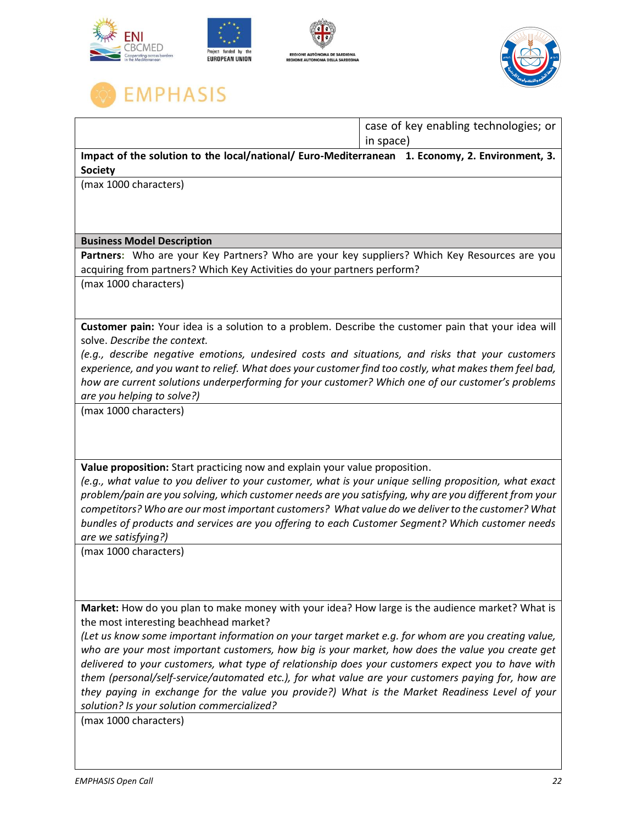



|                                                                                                                                                                                                        | case of key enabling technologies; or |  |
|--------------------------------------------------------------------------------------------------------------------------------------------------------------------------------------------------------|---------------------------------------|--|
|                                                                                                                                                                                                        | in space)                             |  |
| Impact of the solution to the local/national/ Euro-Mediterranean 1. Economy, 2. Environment, 3.                                                                                                        |                                       |  |
| <b>Society</b>                                                                                                                                                                                         |                                       |  |
| (max 1000 characters)                                                                                                                                                                                  |                                       |  |
|                                                                                                                                                                                                        |                                       |  |
|                                                                                                                                                                                                        |                                       |  |
| <b>Business Model Description</b>                                                                                                                                                                      |                                       |  |
| Partners: Who are your Key Partners? Who are your key suppliers? Which Key Resources are you                                                                                                           |                                       |  |
| acquiring from partners? Which Key Activities do your partners perform?                                                                                                                                |                                       |  |
| (max 1000 characters)                                                                                                                                                                                  |                                       |  |
|                                                                                                                                                                                                        |                                       |  |
|                                                                                                                                                                                                        |                                       |  |
| Customer pain: Your idea is a solution to a problem. Describe the customer pain that your idea will<br>solve. Describe the context.                                                                    |                                       |  |
| (e.g., describe negative emotions, undesired costs and situations, and risks that your customers                                                                                                       |                                       |  |
| experience, and you want to relief. What does your customer find too costly, what makes them feel bad,                                                                                                 |                                       |  |
| how are current solutions underperforming for your customer? Which one of our customer's problems                                                                                                      |                                       |  |
| are you helping to solve?)                                                                                                                                                                             |                                       |  |
| (max 1000 characters)                                                                                                                                                                                  |                                       |  |
|                                                                                                                                                                                                        |                                       |  |
|                                                                                                                                                                                                        |                                       |  |
|                                                                                                                                                                                                        |                                       |  |
| Value proposition: Start practicing now and explain your value proposition.<br>(e.g., what value to you deliver to your customer, what is your unique selling proposition, what exact                  |                                       |  |
| problem/pain are you solving, which customer needs are you satisfying, why are you different from your                                                                                                 |                                       |  |
| competitors? Who are our most important customers? What value do we deliver to the customer? What                                                                                                      |                                       |  |
| bundles of products and services are you offering to each Customer Segment? Which customer needs                                                                                                       |                                       |  |
| are we satisfying?)                                                                                                                                                                                    |                                       |  |
| (max 1000 characters)                                                                                                                                                                                  |                                       |  |
|                                                                                                                                                                                                        |                                       |  |
|                                                                                                                                                                                                        |                                       |  |
|                                                                                                                                                                                                        |                                       |  |
| Market: How do you plan to make money with your idea? How large is the audience market? What is                                                                                                        |                                       |  |
| the most interesting beachhead market?                                                                                                                                                                 |                                       |  |
| (Let us know some important information on your target market e.g. for whom are you creating value,                                                                                                    |                                       |  |
| who are your most important customers, how big is your market, how does the value you create get<br>delivered to your customers, what type of relationship does your customers expect you to have with |                                       |  |
| them (personal/self-service/automated etc.), for what value are your customers paying for, how are                                                                                                     |                                       |  |
| they paying in exchange for the value you provide?) What is the Market Readiness Level of your                                                                                                         |                                       |  |
| solution? Is your solution commercialized?                                                                                                                                                             |                                       |  |
| (max 1000 characters)                                                                                                                                                                                  |                                       |  |
|                                                                                                                                                                                                        |                                       |  |
|                                                                                                                                                                                                        |                                       |  |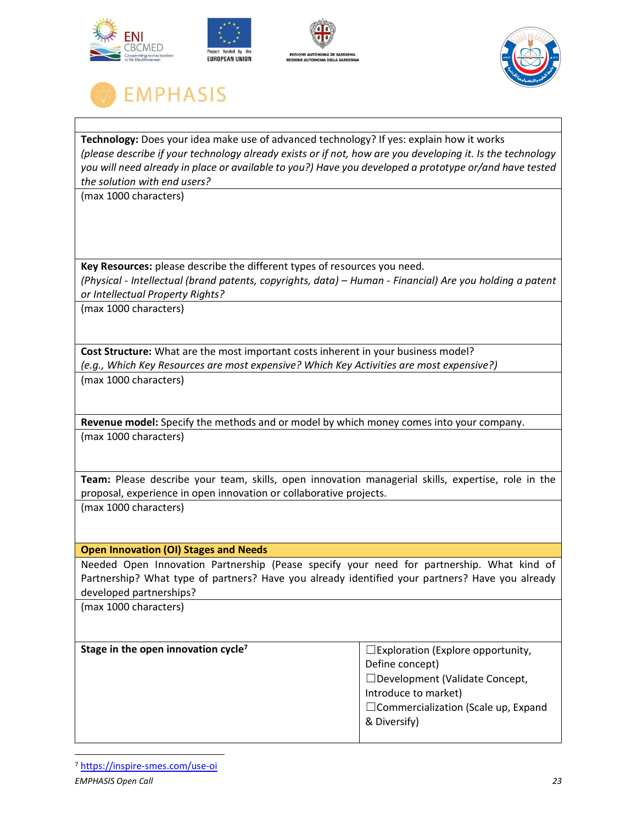





**Technology:** Does your idea make use of advanced technology? If yes: explain how it works *(please describe if your technology already exists or if not, how are you developing it. Is the technology you will need already in place or available to you?) Have you developed a prototype or/and have tested the solution with end users?* 

(max 1000 characters)

**Key Resources:** please describe the different types of resources you need. *(Physical - Intellectual (brand patents, copyrights, data) – Human - Financial) Are you holding a patent or Intellectual Property Rights?*

(max 1000 characters)

**Cost Structure:** What are the most important costs inherent in your business model? *(e.g., Which Key Resources are most expensive? Which Key Activities are most expensive?)* (max 1000 characters)

**Revenue model:** Specify the methods and or model by which money comes into your company. (max 1000 characters)

**Team:** Please describe your team, skills, open innovation managerial skills, expertise, role in the proposal, experience in open innovation or collaborative projects. (max 1000 characters)

#### **Open Innovation (OI) Stages and Needs**

Needed Open Innovation Partnership (Pease specify your need for partnership. What kind of Partnership? What type of partners? Have you already identified your partners? Have you already developed partnerships?

(max 1000 characters)

| Stage in the open innovation cycle <sup>7</sup> | $\square$ Exploration (Explore opportunity, |
|-------------------------------------------------|---------------------------------------------|
|                                                 | Define concept)                             |
|                                                 | □ Development (Validate Concept,            |
|                                                 | Introduce to market)                        |
|                                                 | $\Box$ Commercialization (Scale up, Expand  |
|                                                 | & Diversify)                                |
|                                                 |                                             |

<sup>7</sup> <https://inspire-smes.com/use-oi>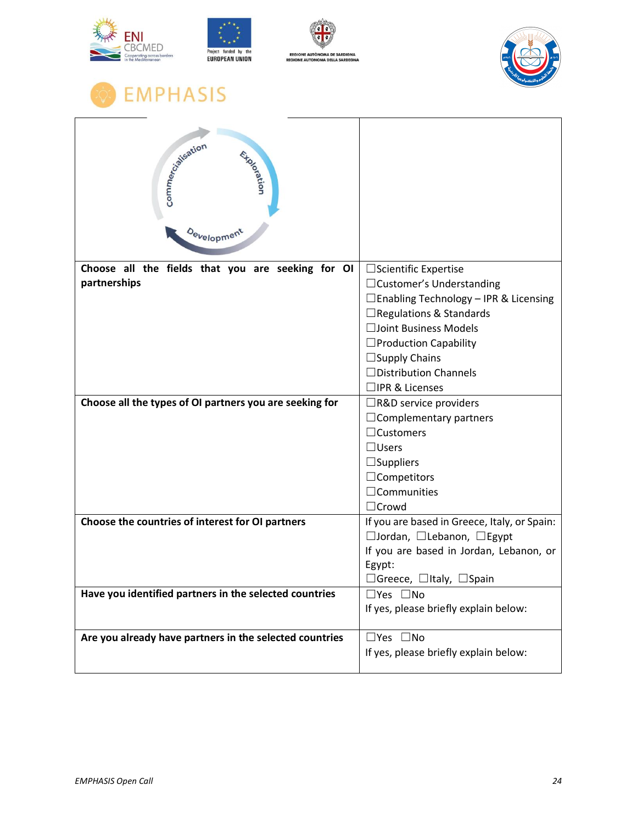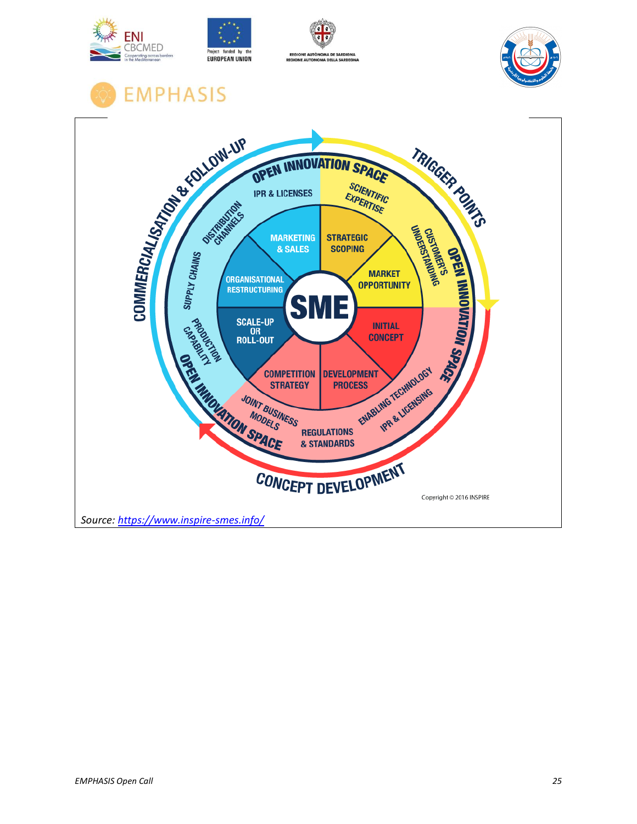





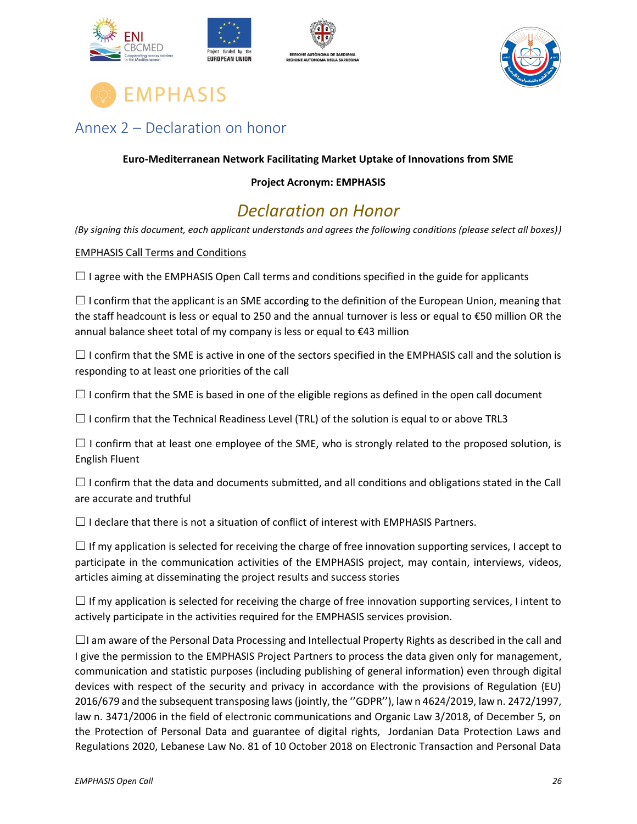





### <span id="page-25-0"></span>Annex 2 – Declaration on honor

#### **Euro-Mediterranean Network Facilitating Market Uptake of Innovations from SME**

#### **Project Acronym: EMPHASIS**

### *Declaration on Honor*

*(By signing this document, each applicant understands and agrees the following conditions (please select all boxes))*

#### EMPHASIS Call Terms and Conditions

 $\Box$  I agree with the EMPHASIS Open Call terms and conditions specified in the guide for applicants

 $\Box$  I confirm that the applicant is an SME according to the definition of the European Union, meaning that the staff headcount is less or equal to 250 and the annual turnover is less or equal to €50 million OR the annual balance sheet total of my company is less or equal to €43 million

 $\Box$  I confirm that the SME is active in one of the sectors specified in the EMPHASIS call and the solution is responding to at least one priorities of the call

 $\Box$  I confirm that the SME is based in one of the eligible regions as defined in the open call document

 $\Box$  I confirm that the Technical Readiness Level (TRL) of the solution is equal to or above TRL3

 $\Box$  I confirm that at least one employee of the SME, who is strongly related to the proposed solution, is English Fluent

 $\Box$  I confirm that the data and documents submitted, and all conditions and obligations stated in the Call are accurate and truthful

 $\Box$  I declare that there is not a situation of conflict of interest with EMPHASIS Partners.

 $\Box$  If my application is selected for receiving the charge of free innovation supporting services, I accept to participate in the communication activities of the EMPHASIS project, may contain, interviews, videos, articles aiming at disseminating the project results and success stories

 $\Box$  If my application is selected for receiving the charge of free innovation supporting services, I intent to actively participate in the activities required for the EMPHASIS services provision.

 $\Box$ I am aware of the Personal Data Processing and Intellectual Property Rights as described in the call and I give the permission to the EMPHASIS Project Partners to process the data given only for management, communication and statistic purposes (including publishing of general information) even through digital devices with respect of the security and privacy in accordance with the provisions of Regulation (EU) 2016/679 and the subsequent transposing laws (jointly, the ''GDPR''), law n 4624/2019, law n. 2472/1997, law n. 3471/2006 in the field of electronic communications and Organic Law 3/2018, of December 5, on the Protection of Personal Data and guarantee of digital rights, Jordanian Data Protection Laws and Regulations 2020, Lebanese Law No. 81 of 10 October 2018 on Electronic Transaction and Personal Data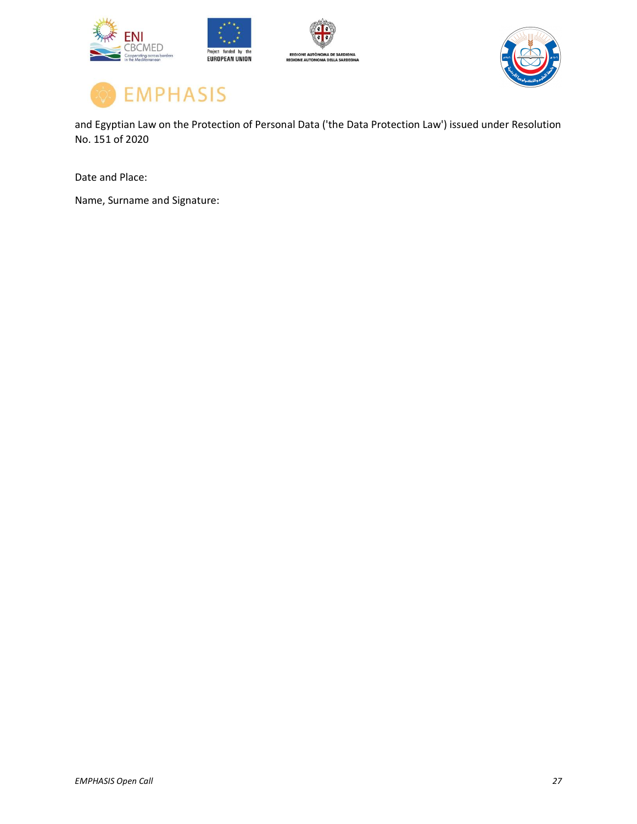





and Egyptian Law on the Protection of Personal Data ('the Data Protection Law') issued under Resolution No. 151 of 2020

Date and Place:

Name, Surname and Signature: